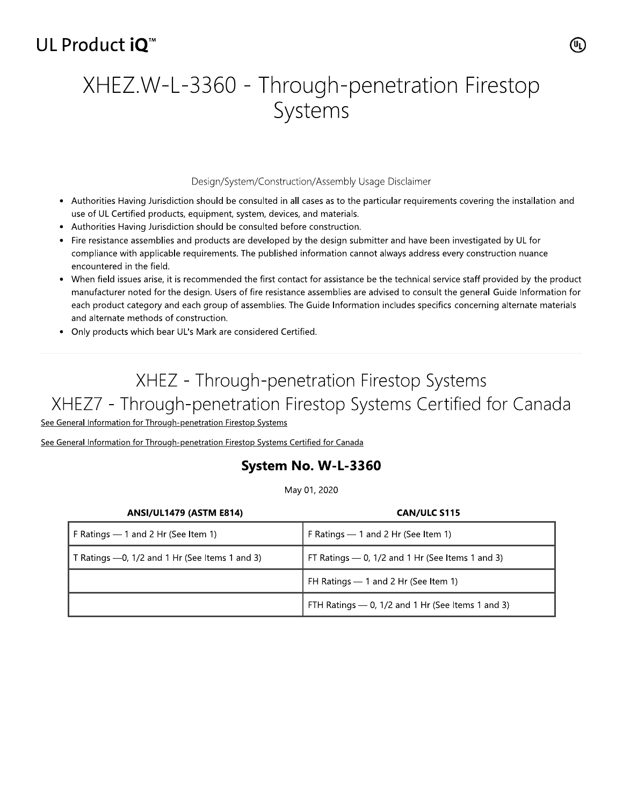## UL Product iO<sup>™</sup>

# XHEZ.W-L-3360 - Through-penetration Firestop Systems

### Design/System/Construction/Assembly Usage Disclaimer

- Authorities Having Jurisdiction should be consulted in all cases as to the particular requirements covering the installation and use of UL Certified products, equipment, system, devices, and materials.
- Authorities Having Jurisdiction should be consulted before construction.
- Fire resistance assemblies and products are developed by the design submitter and have been investigated by UL for compliance with applicable requirements. The published information cannot always address every construction nuance encountered in the field.
- When field issues arise, it is recommended the first contact for assistance be the technical service staff provided by the product manufacturer noted for the design. Users of fire resistance assemblies are advised to consult the general Guide Information for each product category and each group of assemblies. The Guide Information includes specifics concerning alternate materials and alternate methods of construction.
- Only products which bear UL's Mark are considered Certified.

# XHEZ - Through-penetration Firestop Systems XHEZ7 - Through-penetration Firestop Systems Certified for Canada

See General Information for Through-penetration Firestop Systems

See General Information for Through-penetration Firestop Systems Certified for Canada

## System No. W-L-3360

May 01, 2020

| <b>ANSI/UL1479 (ASTM E814)</b>                 | CAN/ULC S115                                       |
|------------------------------------------------|----------------------------------------------------|
| F Ratings - 1 and 2 Hr (See Item 1)            | F Ratings $-$ 1 and 2 Hr (See Item 1)              |
| T Ratings -0, 1/2 and 1 Hr (See Items 1 and 3) | FT Ratings $-$ 0, 1/2 and 1 Hr (See Items 1 and 3) |
|                                                | FH Ratings - 1 and 2 Hr (See Item 1)               |
|                                                | FTH Ratings - 0, 1/2 and 1 Hr (See Items 1 and 3)  |

(ሢ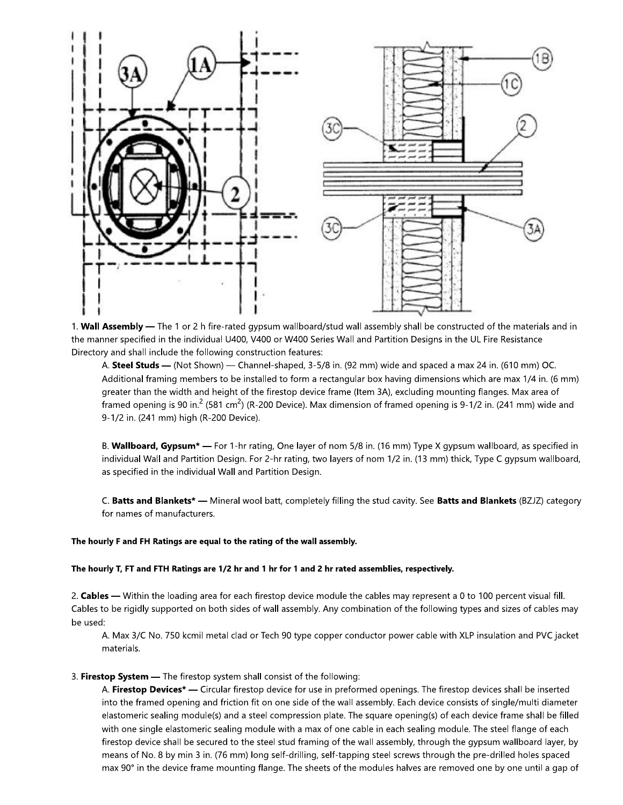

1. Wall Assembly - The 1 or 2 h fire-rated gypsum wallboard/stud wall assembly shall be constructed of the materials and in the manner specified in the individual U400, V400 or W400 Series Wall and Partition Designs in the UL Fire Resistance Directory and shall include the following construction features:

A. Steel Studs - (Not Shown) - Channel-shaped, 3-5/8 in. (92 mm) wide and spaced a max 24 in. (610 mm) OC. Additional framing members to be installed to form a rectangular box having dimensions which are max 1/4 in. (6 mm) greater than the width and height of the firestop device frame (Item 3A), excluding mounting flanges. Max area of framed opening is 90 in.<sup>2</sup> (581 cm<sup>2</sup>) (R-200 Device). Max dimension of framed opening is 9-1/2 in. (241 mm) wide and 9-1/2 in. (241 mm) high (R-200 Device).

B. Wallboard, Gypsum\* - For 1-hr rating, One layer of nom 5/8 in. (16 mm) Type X gypsum wallboard, as specified in individual Wall and Partition Design. For 2-hr rating, two layers of nom 1/2 in. (13 mm) thick, Type C gypsum wallboard, as specified in the individual Wall and Partition Design.

C. Batts and Blankets\* — Mineral wool batt, completely filling the stud cavity. See Batts and Blankets (BZJZ) category for names of manufacturers.

### The hourly F and FH Ratings are equal to the rating of the wall assembly.

#### The hourly T, FT and FTH Ratings are 1/2 hr and 1 hr for 1 and 2 hr rated assemblies, respectively.

2. Cables — Within the loading area for each firestop device module the cables may represent a 0 to 100 percent visual fill. Cables to be rigidly supported on both sides of wall assembly. Any combination of the following types and sizes of cables may be used:

A. Max 3/C No. 750 kcmil metal clad or Tech 90 type copper conductor power cable with XLP insulation and PVC jacket materials.

### 3. Firestop System - The firestop system shall consist of the following:

A. Firestop Devices<sup>\*</sup> — Circular firestop device for use in preformed openings. The firestop devices shall be inserted into the framed opening and friction fit on one side of the wall assembly. Each device consists of single/multi diameter elastomeric sealing module(s) and a steel compression plate. The square opening(s) of each device frame shall be filled with one single elastomeric sealing module with a max of one cable in each sealing module. The steel flange of each firestop device shall be secured to the steel stud framing of the wall assembly, through the gypsum wallboard layer, by means of No. 8 by min 3 in. (76 mm) long self-drilling, self-tapping steel screws through the pre-drilled holes spaced max 90° in the device frame mounting flange. The sheets of the modules halves are removed one by one until a gap of